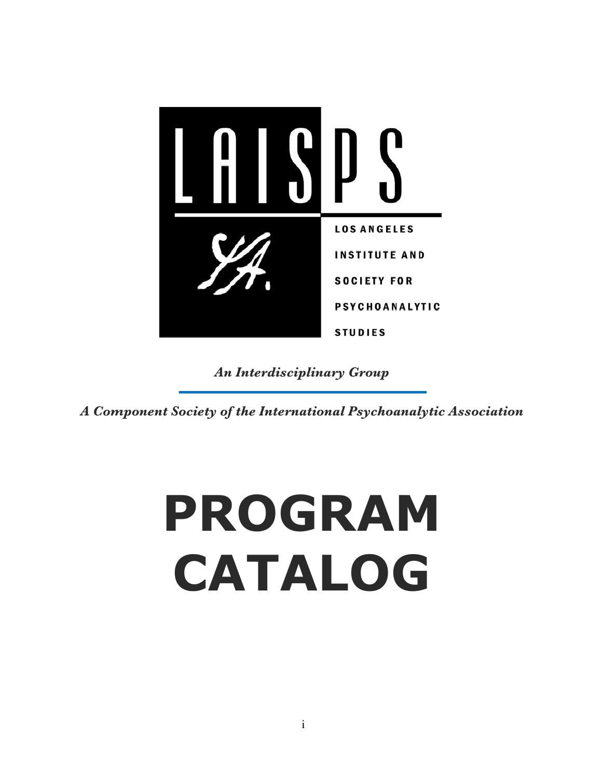

*An Interdisciplinary Group*

*A Component Society of the International Psychoanalytic Association*

# **PROGRAM CATALOG**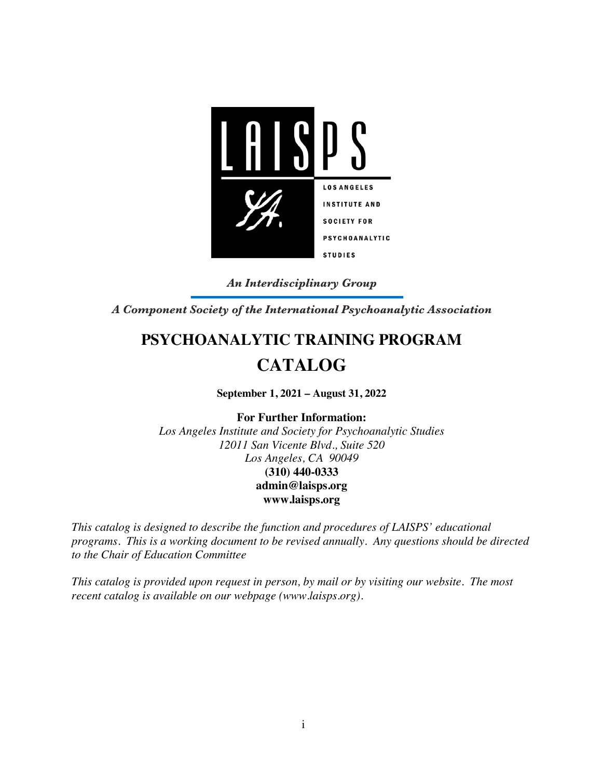

*An Interdisciplinary Group*

*A Component Society of the International Psychoanalytic Association*

# **PSYCHOANALYTIC TRAINING PROGRAM CATALOG**

**September 1, 2021 – August 31, 2022**

**For Further Information:**

*Los Angeles Institute and Society for Psychoanalytic Studies 12011 San Vicente Blvd., Suite 520 Los Angeles, CA 90049* **(310) 440-0333 admin@laisps.org www.laisps.org**

*This catalog is designed to describe the function and procedures of LAISPS' educational programs. This is a working document to be revised annually. Any questions should be directed to the Chair of Education Committee*

*This catalog is provided upon request in person, by mail or by visiting our website. The most recent catalog is available on our webpage (www.laisps.org).*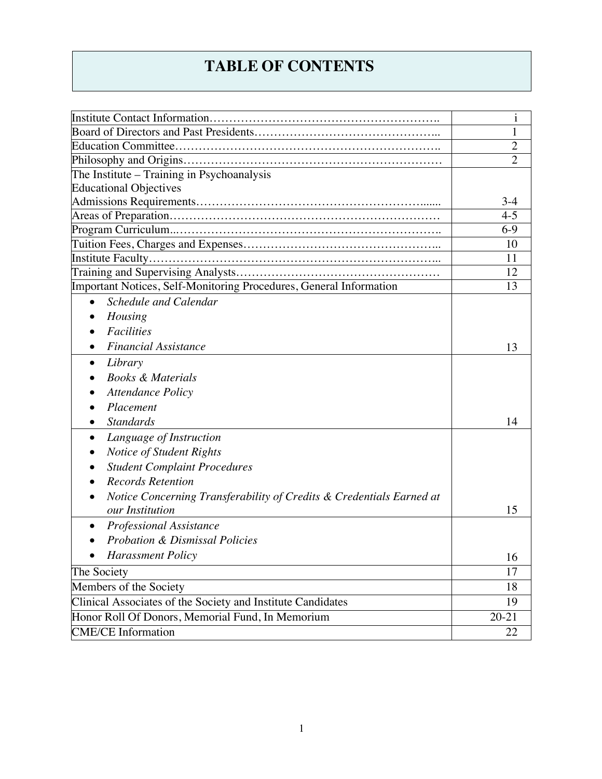# **TABLE OF CONTENTS**

|                                                                                         | $\mathbf{i}$   |
|-----------------------------------------------------------------------------------------|----------------|
|                                                                                         | 1              |
|                                                                                         | $\overline{2}$ |
|                                                                                         | $\overline{2}$ |
| The Institute - Training in Psychoanalysis                                              |                |
| <b>Educational Objectives</b>                                                           |                |
|                                                                                         | $3-4$          |
|                                                                                         | $4 - 5$        |
|                                                                                         | $6-9$          |
|                                                                                         | 10             |
|                                                                                         | 11             |
|                                                                                         | 12             |
| Important Notices, Self-Monitoring Procedures, General Information                      | 13             |
| Schedule and Calendar<br>$\bullet$                                                      |                |
| Housing                                                                                 |                |
| <b>Facilities</b>                                                                       |                |
| <b>Financial Assistance</b>                                                             | 13             |
| Library<br>$\bullet$                                                                    |                |
| <b>Books &amp; Materials</b>                                                            |                |
| <b>Attendance Policy</b>                                                                |                |
| Placement                                                                               |                |
| <b>Standards</b><br>$\bullet$                                                           | 14             |
| Language of Instruction<br>$\bullet$                                                    |                |
| Notice of Student Rights                                                                |                |
| <b>Student Complaint Procedures</b>                                                     |                |
| <b>Records Retention</b>                                                                |                |
|                                                                                         |                |
| Notice Concerning Transferability of Credits & Credentials Earned at<br>our Institution | 15             |
|                                                                                         |                |
| <b>Professional Assistance</b>                                                          |                |
| <b>Probation &amp; Dismissal Policies</b>                                               |                |
| <b>Harassment Policy</b>                                                                | 16             |
| The Society                                                                             | 17             |
| Members of the Society                                                                  | 18             |
| Clinical Associates of the Society and Institute Candidates                             | 19             |
| Honor Roll Of Donors, Memorial Fund, In Memorium                                        | $20 - 21$      |
| <b>CME/CE</b> Information                                                               | 22             |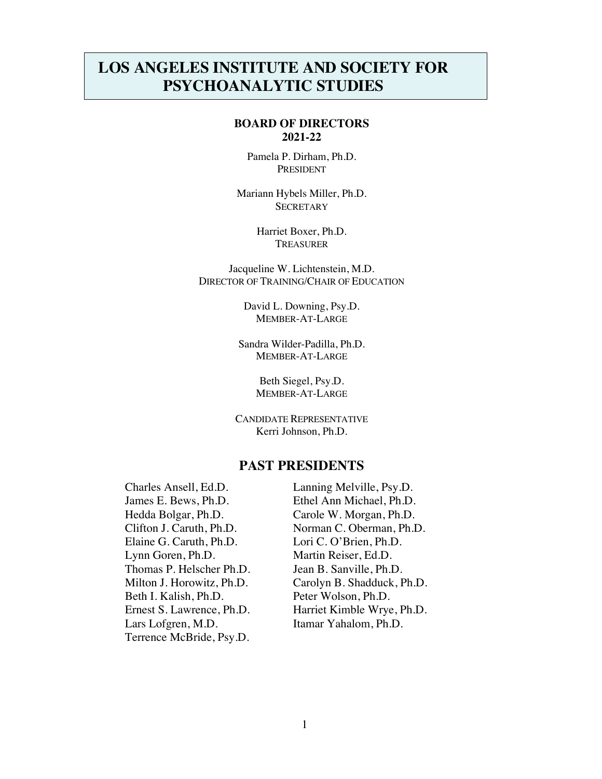## **LOS ANGELES INSTITUTE AND SOCIETY FOR PSYCHOANALYTIC STUDIES**

#### **BOARD OF DIRECTORS 2021-22**

Pamela P. Dirham, Ph.D. PRESIDENT

Mariann Hybels Miller, Ph.D. **SECRETARY** 

> Harriet Boxer, Ph.D. **TREASURER**

Jacqueline W. Lichtenstein, M.D. DIRECTOR OF TRAINING/CHAIR OF EDUCATION

> David L. Downing, Psy.D. MEMBER-AT-LARGE

Sandra Wilder-Padilla, Ph.D. MEMBER-AT-LARGE

> Beth Siegel, Psy.D. MEMBER-AT-LARGE

CANDIDATE REPRESENTATIVE Kerri Johnson, Ph.D.

### **PAST PRESIDENTS**

Charles Ansell, Ed.D. Lanning Melville, Psy.D. James E. Bews, Ph.D. Ethel Ann Michael, Ph.D. Hedda Bolgar, Ph.D. Carole W. Morgan, Ph.D. Elaine G. Caruth, Ph.D. Lori C. O'Brien, Ph.D. Lynn Goren, Ph.D. Martin Reiser, Ed.D. Thomas P. Helscher Ph.D. Jean B. Sanville, Ph.D. Beth I. Kalish, Ph.D. Peter Wolson, Ph.D. Lars Lofgren, M.D. Itamar Yahalom, Ph.D. Terrence McBride, Psy.D.

Clifton J. Caruth, Ph.D. Norman C. Oberman, Ph.D. Milton J. Horowitz, Ph.D. Carolyn B. Shadduck, Ph.D. Ernest S. Lawrence, Ph.D. Harriet Kimble Wrye, Ph.D.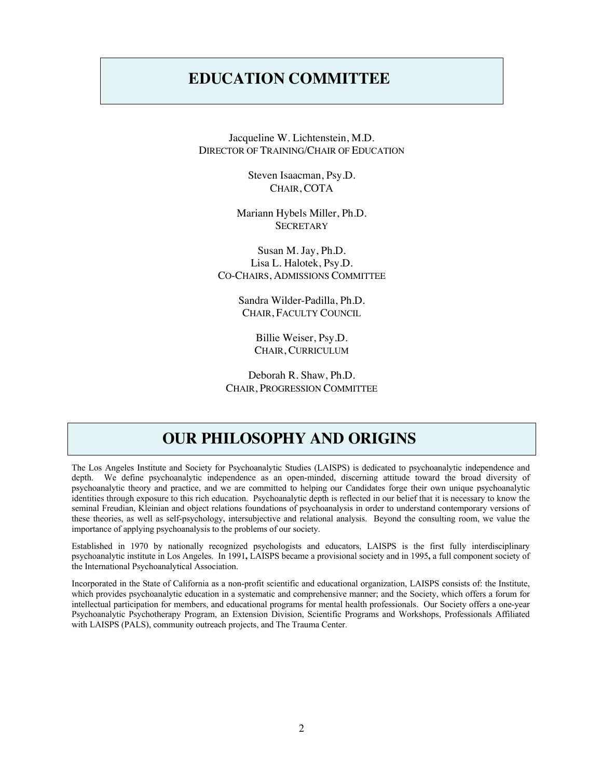## **EDUCATION COMMITTEE**

Jacqueline W. Lichtenstein, M.D. DIRECTOR OF TRAINING/CHAIR OF EDUCATION

> Steven Isaacman, Psy.D. CHAIR, COTA

Mariann Hybels Miller, Ph.D. **SECRETARY** 

Susan M. Jay, Ph.D. Lisa L. Halotek, Psy.D. CO-CHAIRS, ADMISSIONS COMMITTEE

> Sandra Wilder-Padilla, Ph.D. CHAIR, FACULTY COUNCIL

> > Billie Weiser, Psy.D. CHAIR, CURRICULUM

Deborah R. Shaw, Ph.D. CHAIR, PROGRESSION COMMITTEE

## **OUR PHILOSOPHY AND ORIGINS**

The Los Angeles Institute and Society for Psychoanalytic Studies (LAISPS) is dedicated to psychoanalytic independence and depth. We define psychoanalytic independence as an open-minded, discerning attitude toward the broad diversity of psychoanalytic theory and practice, and we are committed to helping our Candidates forge their own unique psychoanalytic identities through exposure to this rich education. Psychoanalytic depth is reflected in our belief that it is necessary to know the seminal Freudian, Kleinian and object relations foundations of psychoanalysis in order to understand contemporary versions of these theories, as well as self-psychology, intersubjective and relational analysis. Beyond the consulting room, we value the importance of applying psychoanalysis to the problems of our society.

Established in 1970 by nationally recognized psychologists and educators, LAISPS is the first fully interdisciplinary psychoanalytic institute in Los Angeles. In 1991**,** LAISPS became a provisional society and in 1995**,** a full component society of the International Psychoanalytical Association.

Incorporated in the State of California as a non-profit scientific and educational organization, LAISPS consists of: the Institute, which provides psychoanalytic education in a systematic and comprehensive manner; and the Society, which offers a forum for intellectual participation for members, and educational programs for mental health professionals. Our Society offers a one-year Psychoanalytic Psychotherapy Program, an Extension Division, Scientific Programs and Workshops, Professionals Affiliated with LAISPS (PALS), community outreach projects, and The Trauma Center.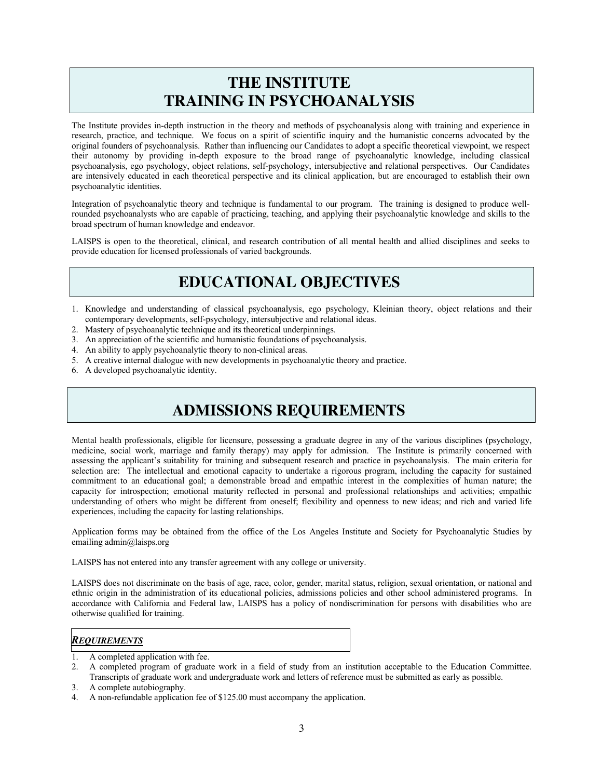## **THE INSTITUTE TRAINING IN PSYCHOANALYSIS**

The Institute provides in-depth instruction in the theory and methods of psychoanalysis along with training and experience in research, practice, and technique. We focus on a spirit of scientific inquiry and the humanistic concerns advocated by the original founders of psychoanalysis. Rather than influencing our Candidates to adopt a specific theoretical viewpoint, we respect their autonomy by providing in-depth exposure to the broad range of psychoanalytic knowledge, including classical psychoanalysis, ego psychology, object relations, self-psychology, intersubjective and relational perspectives. Our Candidates are intensively educated in each theoretical perspective and its clinical application, but are encouraged to establish their own psychoanalytic identities.

Integration of psychoanalytic theory and technique is fundamental to our program. The training is designed to produce wellrounded psychoanalysts who are capable of practicing, teaching, and applying their psychoanalytic knowledge and skills to the broad spectrum of human knowledge and endeavor.

LAISPS is open to the theoretical, clinical, and research contribution of all mental health and allied disciplines and seeks to provide education for licensed professionals of varied backgrounds.

## **EDUCATIONAL OBJECTIVES**

- 1. Knowledge and understanding of classical psychoanalysis, ego psychology, Kleinian theory, object relations and their contemporary developments, self-psychology, intersubjective and relational ideas.
- 2. Mastery of psychoanalytic technique and its theoretical underpinnings.
- 3. An appreciation of the scientific and humanistic foundations of psychoanalysis.
- 4. An ability to apply psychoanalytic theory to non-clinical areas.
- 5. A creative internal dialogue with new developments in psychoanalytic theory and practice.
- 6. A developed psychoanalytic identity.

## **ADMISSIONS REQUIREMENTS**

Mental health professionals, eligible for licensure, possessing a graduate degree in any of the various disciplines (psychology, medicine, social work, marriage and family therapy) may apply for admission. The Institute is primarily concerned with assessing the applicant's suitability for training and subsequent research and practice in psychoanalysis. The main criteria for selection are: The intellectual and emotional capacity to undertake a rigorous program, including the capacity for sustained commitment to an educational goal; a demonstrable broad and empathic interest in the complexities of human nature; the capacity for introspection; emotional maturity reflected in personal and professional relationships and activities; empathic understanding of others who might be different from oneself; flexibility and openness to new ideas; and rich and varied life experiences, including the capacity for lasting relationships.

Application forms may be obtained from the office of the Los Angeles Institute and Society for Psychoanalytic Studies by emailing admin@laisps.org

LAISPS has not entered into any transfer agreement with any college or university.

LAISPS does not discriminate on the basis of age, race, color, gender, marital status, religion, sexual orientation, or national and ethnic origin in the administration of its educational policies, admissions policies and other school administered programs. In accordance with California and Federal law, LAISPS has a policy of nondiscrimination for persons with disabilities who are otherwise qualified for training.

#### *REQUIREMENTS*

- 1. A completed application with fee.
- 2. A completed program of graduate work in a field of study from an institution acceptable to the Education Committee. Transcripts of graduate work and undergraduate work and letters of reference must be submitted as early as possible.
- 3. A complete autobiography.
- 4. A non-refundable application fee of \$125.00 must accompany the application.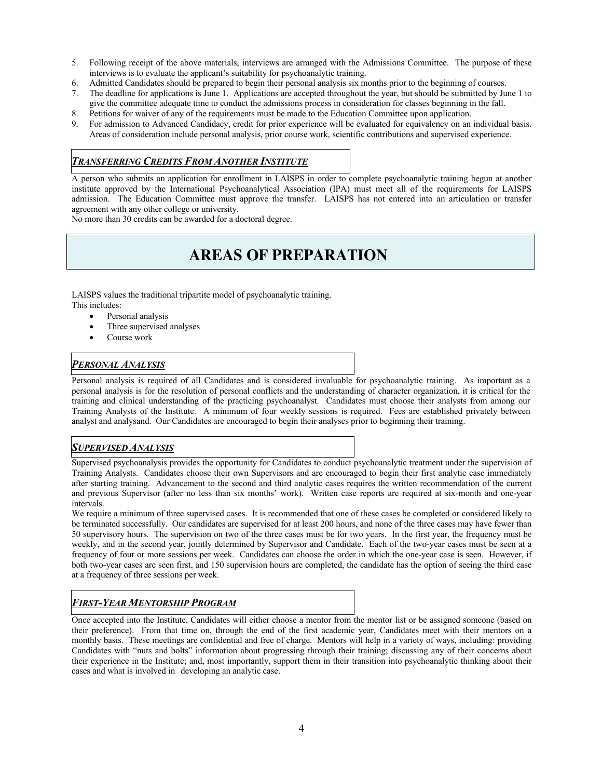- 5. Following receipt of the above materials, interviews are arranged with the Admissions Committee. The purpose of these interviews is to evaluate the applicant's suitability for psychoanalytic training.
- 6. Admitted Candidates should be prepared to begin their personal analysis six months prior to the beginning of courses.
- 7. The deadline for applications is June 1. Applications are accepted throughout the year, but should be submitted by June 1 to give the committee adequate time to conduct the admissions process in consideration for classes beginning in the fall.
- 8. Petitions for waiver of any of the requirements must be made to the Education Committee upon application.
- 9. For admission to Advanced Candidacy, credit for prior experience will be evaluated for equivalency on an individual basis. Areas of consideration include personal analysis, prior course work, scientific contributions and supervised experience.

#### *TRANSFERRING CREDITS FROM ANOTHER INSTITUTE*

A person who submits an application for enrollment in LAISPS in order to complete psychoanalytic training begun at another institute approved by the International Psychoanalytical Association (IPA) must meet all of the requirements for LAISPS admission. The Education Committee must approve the transfer. LAISPS has not entered into an articulation or transfer agreement with any other college or university.

No more than 30 credits can be awarded for a doctoral degree.

## **AREAS OF PREPARATION**

LAISPS values the traditional tripartite model of psychoanalytic training. This includes:

- Personal analysis
- Three supervised analyses
- Course work

#### *PERSONAL ANALYSIS*

Personal analysis is required of all Candidates and is considered invaluable for psychoanalytic training. As important as a personal analysis is for the resolution of personal conflicts and the understanding of character organization, it is critical for the training and clinical understanding of the practicing psychoanalyst. Candidates must choose their analysts from among our Training Analysts of the Institute. A minimum of four weekly sessions is required. Fees are established privately between analyst and analysand. Our Candidates are encouraged to begin their analyses prior to beginning their training.

#### *SUPERVISED ANALYSIS*

Supervised psychoanalysis provides the opportunity for Candidates to conduct psychoanalytic treatment under the supervision of Training Analysts. Candidates choose their own Supervisors and are encouraged to begin their first analytic case immediately after starting training. Advancement to the second and third analytic cases requires the written recommendation of the current and previous Supervisor (after no less than six months' work). Written case reports are required at six-month and one-year intervals.

We require a minimum of three supervised cases. It is recommended that one of these cases be completed or considered likely to be terminated successfully. Our candidates are supervised for at least 200 hours, and none of the three cases may have fewer than 50 supervisory hours. The supervision on two of the three cases must be for two years. In the first year, the frequency must be weekly, and in the second year, jointly determined by Supervisor and Candidate. Each of the two-year cases must be seen at a frequency of four or more sessions per week. Candidates can choose the order in which the one-year case is seen. However, if both two-year cases are seen first, and 150 supervision hours are completed, the candidate has the option of seeing the third case at a frequency of three sessions per week.

#### *FIRST-YEAR MENTORSHIP PROGRAM*

Once accepted into the Institute, Candidates will either choose a mentor from the mentor list or be assigned someone (based on their preference). From that time on, through the end of the first academic year, Candidates meet with their mentors on a monthly basis. These meetings are confidential and free of charge. Mentors will help in a variety of ways, including: providing Candidates with "nuts and bolts" information about progressing through their training; discussing any of their concerns about their experience in the Institute; and, most importantly, support them in their transition into psychoanalytic thinking about their cases and what is involved in developing an analytic case.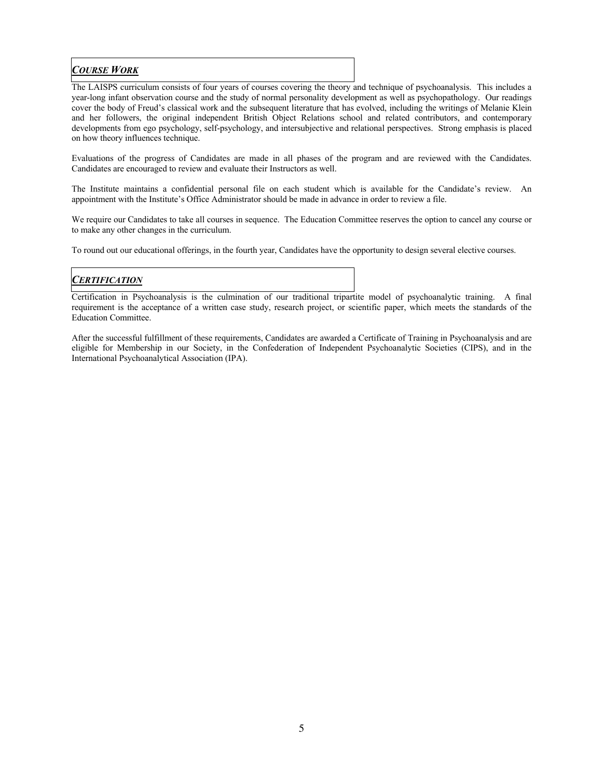## *COURSE WORK*

The LAISPS curriculum consists of four years of courses covering the theory and technique of psychoanalysis. This includes a year-long infant observation course and the study of normal personality development as well as psychopathology. Our readings cover the body of Freud's classical work and the subsequent literature that has evolved, including the writings of Melanie Klein and her followers, the original independent British Object Relations school and related contributors, and contemporary developments from ego psychology, self-psychology, and intersubjective and relational perspectives. Strong emphasis is placed on how theory influences technique.

Evaluations of the progress of Candidates are made in all phases of the program and are reviewed with the Candidates. Candidates are encouraged to review and evaluate their Instructors as well.

The Institute maintains a confidential personal file on each student which is available for the Candidate's review. An appointment with the Institute's Office Administrator should be made in advance in order to review a file.

We require our Candidates to take all courses in sequence. The Education Committee reserves the option to cancel any course or to make any other changes in the curriculum.

To round out our educational offerings, in the fourth year, Candidates have the opportunity to design several elective courses.

## *CERTIFICATION*

Certification in Psychoanalysis is the culmination of our traditional tripartite model of psychoanalytic training. A final requirement is the acceptance of a written case study, research project, or scientific paper, which meets the standards of the Education Committee.

After the successful fulfillment of these requirements, Candidates are awarded a Certificate of Training in Psychoanalysis and are eligible for Membership in our Society, in the Confederation of Independent Psychoanalytic Societies (CIPS), and in the International Psychoanalytical Association (IPA).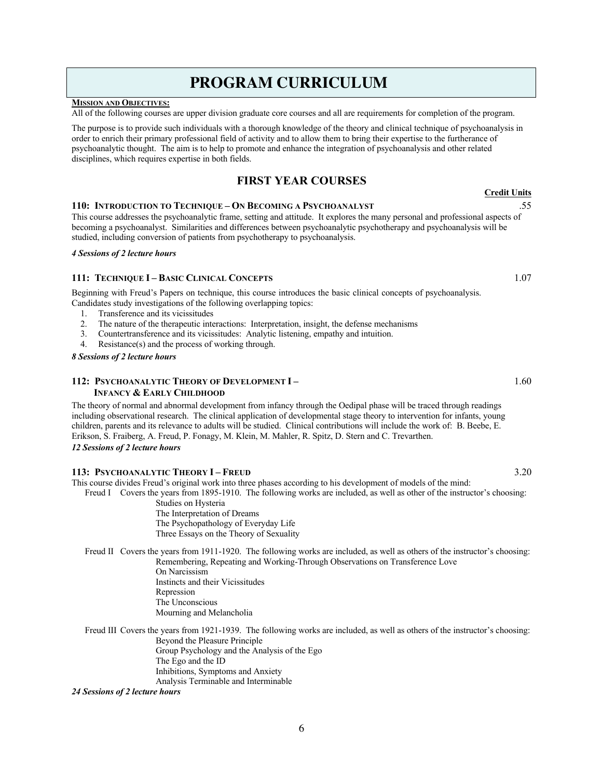## 6

## **PROGRAM CURRICULUM**

#### **MISSION AND OBJECTIVES:**

All of the following courses are upper division graduate core courses and all are requirements for completion of the program.

The purpose is to provide such individuals with a thorough knowledge of the theory and clinical technique of psychoanalysis in order to enrich their primary professional field of activity and to allow them to bring their expertise to the furtherance of psychoanalytic thought. The aim is to help to promote and enhance the integration of psychoanalysis and other related disciplines, which requires expertise in both fields.

## **FIRST YEAR COURSES**

#### **110: INTRODUCTION TO TECHNIQUE – ON BECOMING A PSYCHOANALYST** .55

This course addresses the psychoanalytic frame, setting and attitude. It explores the many personal and professional aspects of becoming a psychoanalyst. Similarities and differences between psychoanalytic psychotherapy and psychoanalysis will be studied, including conversion of patients from psychotherapy to psychoanalysis.

#### *4 Sessions of 2 lecture hours*

#### **111: TECHNIQUE I – BASIC CLINICAL CONCEPTS** 1.07

Beginning with Freud's Papers on technique, this course introduces the basic clinical concepts of psychoanalysis. Candidates study investigations of the following overlapping topics:

- 1. Transference and its vicissitudes
- 2. The nature of the therapeutic interactions: Interpretation, insight, the defense mechanisms
- 3. Countertransference and its vicissitudes: Analytic listening, empathy and intuition.
- 4. Resistance(s) and the process of working through.

#### *8 Sessions of 2 lecture hours*

#### **112: PSYCHOANALYTIC THEORY OF DEVELOPMENT I – INFANCY & EARLY CHILDHOOD**

The theory of normal and abnormal development from infancy through the Oedipal phase will be traced through readings including observational research. The clinical application of developmental stage theory to intervention for infants, young children, parents and its relevance to adults will be studied. Clinical contributions will include the work of: B. Beebe, E. Erikson, S. Fraiberg, A. Freud, P. Fonagy, M. Klein, M. Mahler, R. Spitz, D. Stern and C. Trevarthen.

#### *12 Sessions of 2 lecture hours*

#### **113: PSYCHOANALYTIC THEORY I – FREUD** 3.20

This course divides Freud's original work into three phases according to his development of models of the mind:

Freud I Covers the years from 1895-1910. The following works are included, as well as other of the instructor's choosing: Studies on Hysteria

The Interpretation of Dreams The Psychopathology of Everyday Life Three Essays on the Theory of Sexuality

Freud II Covers the years from 1911-1920. The following works are included, as well as others of the instructor's choosing: Remembering, Repeating and Working-Through Observations on Transference Love

> On Narcissism Instincts and their Vicissitudes Repression The Unconscious Mourning and Melancholia

Freud III Covers the years from 1921-1939. The following works are included, as well as others of the instructor's choosing: Beyond the Pleasure Principle Group Psychology and the Analysis of the Ego The Ego and the ID Inhibitions, Symptoms and Anxiety Analysis Terminable and Interminable

#### *24 Sessions of 2 lecture hours*

**Credit Units**

1.60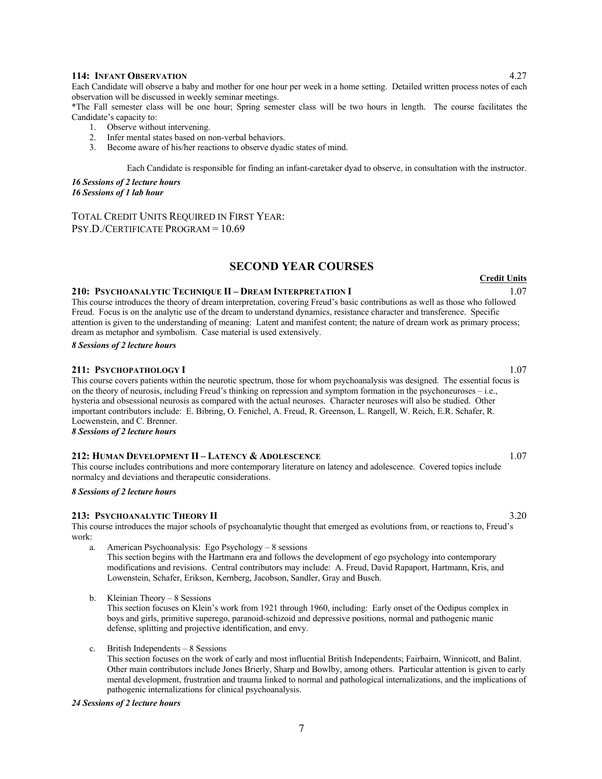#### **114: INFANT OBSERVATION** 4.27

Each Candidate will observe a baby and mother for one hour per week in a home setting. Detailed written process notes of each observation will be discussed in weekly seminar meetings.

\*The Fall semester class will be one hour; Spring semester class will be two hours in length. The course facilitates the Candidate's capacity to:

- 1. Observe without intervening.
- 2. Infer mental states based on non-verbal behaviors.
- 3. Become aware of his/her reactions to observe dyadic states of mind.

Each Candidate is responsible for finding an infant-caretaker dyad to observe, in consultation with the instructor.

*16 Sessions of 2 lecture hours 16 Sessions of 1 lab hour*

TOTAL CREDIT UNITS REQUIRED IN FIRST YEAR: PSY.D./CERTIFICATE PROGRAM = 10.69

#### **SECOND YEAR COURSES**

#### **210: PSYCHOANALYTIC TECHNIQUE II – DREAM INTERPRETATION I** 1.07

This course introduces the theory of dream interpretation, covering Freud's basic contributions as well as those who followed Freud. Focus is on the analytic use of the dream to understand dynamics, resistance character and transference. Specific attention is given to the understanding of meaning: Latent and manifest content; the nature of dream work as primary process; dream as metaphor and symbolism. Case material is used extensively.

*8 Sessions of 2 lecture hours*

#### **211: PSYCHOPATHOLOGY I** 1.07

This course covers patients within the neurotic spectrum, those for whom psychoanalysis was designed. The essential focus is on the theory of neurosis, including Freud's thinking on repression and symptom formation in the psychoneuroses – i.e., hysteria and obsessional neurosis as compared with the actual neuroses. Character neuroses will also be studied. Other important contributors include: E. Bibring, O. Fenichel, A. Freud, R. Greenson, L. Rangell, W. Reich, E.R. Schafer, R. Loewenstein, and C. Brenner.

*8 Sessions of 2 lecture hours*

#### **212: HUMAN DEVELOPMENT II – LATENCY & ADOLESCENCE** 1.07

This course includes contributions and more contemporary literature on latency and adolescence. Covered topics include normalcy and deviations and therapeutic considerations.

*8 Sessions of 2 lecture hours*

#### **213: PSYCHOANALYTIC THEORY II** 3.20

This course introduces the major schools of psychoanalytic thought that emerged as evolutions from, or reactions to, Freud's work:

- a. American Psychoanalysis: Ego Psychology 8 sessions This section begins with the Hartmann era and follows the development of ego psychology into contemporary modifications and revisions. Central contributors may include: A. Freud, David Rapaport, Hartmann, Kris, and Lowenstein, Schafer, Erikson, Kernberg, Jacobson, Sandler, Gray and Busch.
- b. Kleinian Theory 8 Sessions

This section focuses on Klein's work from 1921 through 1960, including: Early onset of the Oedipus complex in boys and girls, primitive superego, paranoid-schizoid and depressive positions, normal and pathogenic manic defense, splitting and projective identification, and envy.

c. British Independents – 8 Sessions

This section focuses on the work of early and most influential British Independents; Fairbairn, Winnicott, and Balint. Other main contributors include Jones Brierly, Sharp and Bowlby, among others. Particular attention is given to early mental development, frustration and trauma linked to normal and pathological internalizations, and the implications of pathogenic internalizations for clinical psychoanalysis.

#### *24 Sessions of 2 lecture hours*

**Credit Units**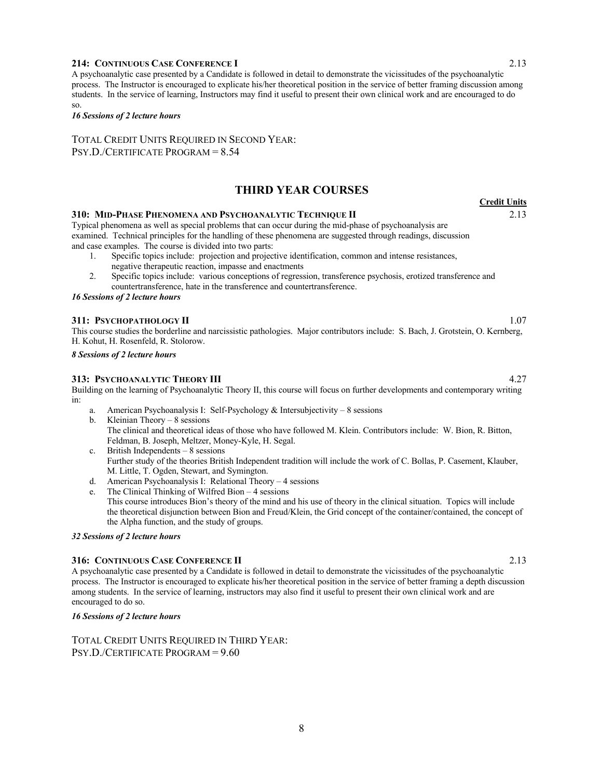#### **214: CONTINUOUS CASE CONFERENCE I** 2.13

A psychoanalytic case presented by a Candidate is followed in detail to demonstrate the vicissitudes of the psychoanalytic process. The Instructor is encouraged to explicate his/her theoretical position in the service of better framing discussion among students. In the service of learning, Instructors may find it useful to present their own clinical work and are encouraged to do so.

#### *16 Sessions of 2 lecture hours*

TOTAL CREDIT UNITS REQUIRED IN SECOND YEAR: PSY.D./CERTIFICATE PROGRAM = 8.54

#### **THIRD YEAR COURSES**

#### **310: MID-PHASE PHENOMENA AND PSYCHOANALYTIC TECHNIQUE II** 2.13

Typical phenomena as well as special problems that can occur during the mid-phase of psychoanalysis are examined. Technical principles for the handling of these phenomena are suggested through readings, discussion and case examples. The course is divided into two parts:

- 1. Specific topics include: projection and projective identification, common and intense resistances, negative therapeutic reaction, impasse and enactments
	- 2. Specific topics include: various conceptions of regression, transference psychosis, erotized transference and countertransference, hate in the transference and countertransference.

#### *16 Sessions of 2 lecture hours*

#### **311: PSYCHOPATHOLOGY II** 1.07

This course studies the borderline and narcissistic pathologies. Major contributors include: S. Bach, J. Grotstein, O. Kernberg, H. Kohut, H. Rosenfeld, R. Stolorow.

*8 Sessions of 2 lecture hours*

#### **313: PSYCHOANALYTIC THEORY III** 4.27

Building on the learning of Psychoanalytic Theory II, this course will focus on further developments and contemporary writing in:

- a. American Psychoanalysis I: Self-Psychology & Intersubjectivity 8 sessions
- b. Kleinian Theory 8 sessions The clinical and theoretical ideas of those who have followed M. Klein. Contributors include: W. Bion, R. Bitton, Feldman, B. Joseph, Meltzer, Money-Kyle, H. Segal.
- c. British Independents 8 sessions Further study of the theories British Independent tradition will include the work of C. Bollas, P. Casement, Klauber, M. Little, T. Ogden, Stewart, and Symington.
- d. American Psychoanalysis I: Relational Theory 4 sessions
- e. The Clinical Thinking of Wilfred Bion 4 sessions This course introduces Bion's theory of the mind and his use of theory in the clinical situation. Topics will include the theoretical disjunction between Bion and Freud/Klein, the Grid concept of the container/contained, the concept of the Alpha function, and the study of groups.

#### *32 Sessions of 2 lecture hours*

#### **316: CONTINUOUS CASE CONFERENCE II** 2.13

A psychoanalytic case presented by a Candidate is followed in detail to demonstrate the vicissitudes of the psychoanalytic process. The Instructor is encouraged to explicate his/her theoretical position in the service of better framing a depth discussion among students. In the service of learning, instructors may also find it useful to present their own clinical work and are encouraged to do so.

#### *16 Sessions of 2 lecture hours*

TOTAL CREDIT UNITS REQUIRED IN THIRD YEAR: PSY.D./CERTIFICATE PROGRAM = 9.60

**Credit Units**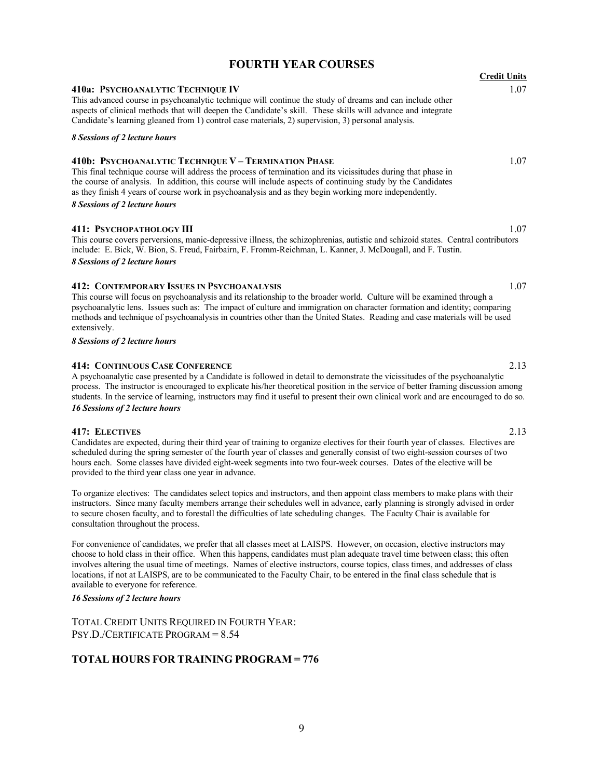#### **FOURTH YEAR COURSES**

## **Credit Units 410a: PSYCHOANALYTIC TECHNIQUE IV** 1.07 This advanced course in psychoanalytic technique will continue the study of dreams and can include other aspects of clinical methods that will deepen the Candidate's skill. These skills will advance and integrate Candidate's learning gleaned from 1) control case materials, 2) supervision, 3) personal analysis. *8 Sessions of 2 lecture hours* **410b: PSYCHOANALYTIC TECHNIQUE V – TERMINATION PHASE** 1.07

This final technique course will address the process of termination and its vicissitudes during that phase in the course of analysis. In addition, this course will include aspects of continuing study by the Candidates as they finish 4 years of course work in psychoanalysis and as they begin working more independently.

#### *8 Sessions of 2 lecture hours*

#### **411: PSYCHOPATHOLOGY III** 1.07

This course covers perversions, manic-depressive illness, the schizophrenias, autistic and schizoid states. Central contributors include: E. Bick, W. Bion, S. Freud, Fairbairn, F. Fromm-Reichman, L. Kanner, J. McDougall, and F. Tustin. *8 Sessions of 2 lecture hours*

#### **412: CONTEMPORARY ISSUES IN PSYCHOANALYSIS** 1.07

This course will focus on psychoanalysis and its relationship to the broader world. Culture will be examined through a psychoanalytic lens. Issues such as: The impact of culture and immigration on character formation and identity; comparing methods and technique of psychoanalysis in countries other than the United States. Reading and case materials will be used extensively.

#### *8 Sessions of 2 lecture hours*

#### **414: CONTINUOUS CASE CONFERENCE** 2.13

A psychoanalytic case presented by a Candidate is followed in detail to demonstrate the vicissitudes of the psychoanalytic process. The instructor is encouraged to explicate his/her theoretical position in the service of better framing discussion among students. In the service of learning, instructors may find it useful to present their own clinical work and are encouraged to do so. *16 Sessions of 2 lecture hours*

#### **417: ELECTIVES** 2.13

Candidates are expected, during their third year of training to organize electives for their fourth year of classes. Electives are scheduled during the spring semester of the fourth year of classes and generally consist of two eight-session courses of two hours each. Some classes have divided eight-week segments into two four-week courses. Dates of the elective will be provided to the third year class one year in advance.

To organize electives: The candidates select topics and instructors, and then appoint class members to make plans with their instructors. Since many faculty members arrange their schedules well in advance, early planning is strongly advised in order to secure chosen faculty, and to forestall the difficulties of late scheduling changes. The Faculty Chair is available for consultation throughout the process.

For convenience of candidates, we prefer that all classes meet at LAISPS. However, on occasion, elective instructors may choose to hold class in their office. When this happens, candidates must plan adequate travel time between class; this often involves altering the usual time of meetings. Names of elective instructors, course topics, class times, and addresses of class locations, if not at LAISPS, are to be communicated to the Faculty Chair, to be entered in the final class schedule that is available to everyone for reference.

#### *16 Sessions of 2 lecture hours*

TOTAL CREDIT UNITS REQUIRED IN FOURTH YEAR: PSY.D./CERTIFICATE PROGRAM = 8.54

#### **TOTAL HOURS FOR TRAINING PROGRAM = 776**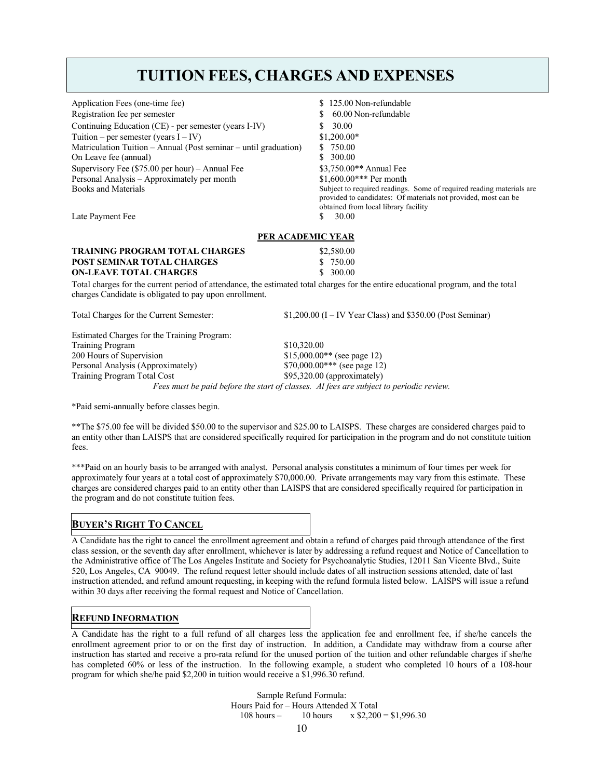## **TUITION FEES, CHARGES AND EXPENSES**

| Application Fees (one-time fee)<br>Registration fee per semester<br>Continuing Education (CE) - per semester (years I-IV)<br>Tuition – per semester (years $I - IV$ )<br>Matriculation Tuition - Annual (Post seminar - until graduation)<br>On Leave fee (annual) | 125.00 Non-refundable<br>60.00 Non-refundable<br>30.00<br>S<br>$$1,200.00*$<br>750.00<br>S.<br>300.00                                                                                                     |  |
|--------------------------------------------------------------------------------------------------------------------------------------------------------------------------------------------------------------------------------------------------------------------|-----------------------------------------------------------------------------------------------------------------------------------------------------------------------------------------------------------|--|
| Supervisory Fee (\$75.00 per hour) - Annual Fee                                                                                                                                                                                                                    | \$3,750.00** Annual Fee                                                                                                                                                                                   |  |
| Personal Analysis - Approximately per month<br><b>Books and Materials</b>                                                                                                                                                                                          | \$1,600.00*** Per month<br>Subject to required readings. Some of required reading materials are<br>provided to candidates: Of materials not provided, most can be<br>obtained from local library facility |  |
| Late Payment Fee                                                                                                                                                                                                                                                   | 30.00<br>\$                                                                                                                                                                                               |  |
| <b>PER ACADEMIC YEAR</b>                                                                                                                                                                                                                                           |                                                                                                                                                                                                           |  |
| <b>TRAINING PROGRAM TOTAL CHARGES</b>                                                                                                                                                                                                                              | \$2,580.00                                                                                                                                                                                                |  |
| <b>POST SEMINAR TOTAL CHARGES</b>                                                                                                                                                                                                                                  | \$ 750.00                                                                                                                                                                                                 |  |
| <b>ON-LEAVE TOTAL CHARGES</b>                                                                                                                                                                                                                                      | \$300.00                                                                                                                                                                                                  |  |
| charges Candidate is obligated to pay upon enrollment.                                                                                                                                                                                                             | Total charges for the current period of attendance, the estimated total charges for the entire educational program, and the total                                                                         |  |
| Total Charges for the Current Semester:                                                                                                                                                                                                                            | $$1,200.00$ (I – IV Year Class) and \$350.00 (Post Seminar)                                                                                                                                               |  |
| Estimated Charges for the Training Program:                                                                                                                                                                                                                        |                                                                                                                                                                                                           |  |
| <b>Training Program</b>                                                                                                                                                                                                                                            | \$10,320.00                                                                                                                                                                                               |  |
| 200 Hours of Supervision                                                                                                                                                                                                                                           | $$15,000.00**$ (see page 12)                                                                                                                                                                              |  |
| Personal Analysis (Approximately)                                                                                                                                                                                                                                  | \$70,000.00*** (see page 12)                                                                                                                                                                              |  |
| Training Program Total Cost                                                                                                                                                                                                                                        | $$95,320.00$ (approximately)                                                                                                                                                                              |  |
| Fees must be paid before the start of classes. Al fees are subject to periodic review.                                                                                                                                                                             |                                                                                                                                                                                                           |  |

\*Paid semi-annually before classes begin.

\*\*The \$75.00 fee will be divided \$50.00 to the supervisor and \$25.00 to LAISPS. These charges are considered charges paid to an entity other than LAISPS that are considered specifically required for participation in the program and do not constitute tuition fees.

\*\*\*Paid on an hourly basis to be arranged with analyst. Personal analysis constitutes a minimum of four times per week for approximately four years at a total cost of approximately \$70,000.00. Private arrangements may vary from this estimate. These charges are considered charges paid to an entity other than LAISPS that are considered specifically required for participation in the program and do not constitute tuition fees.

#### **BUYER'S RIGHT TO CANCEL**

A Candidate has the right to cancel the enrollment agreement and obtain a refund of charges paid through attendance of the first class session, or the seventh day after enrollment, whichever is later by addressing a refund request and Notice of Cancellation to the Administrative office of The Los Angeles Institute and Society for Psychoanalytic Studies, 12011 San Vicente Blvd., Suite 520, Los Angeles, CA 90049. The refund request letter should include dates of all instruction sessions attended, date of last instruction attended, and refund amount requesting, in keeping with the refund formula listed below. LAISPS will issue a refund within 30 days after receiving the formal request and Notice of Cancellation.

#### **REFUND INFORMATION**

A Candidate has the right to a full refund of all charges less the application fee and enrollment fee, if she/he cancels the enrollment agreement prior to or on the first day of instruction. In addition, a Candidate may withdraw from a course after instruction has started and receive a pro-rata refund for the unused portion of the tuition and other refundable charges if she/he has completed 60% or less of the instruction. In the following example, a student who completed 10 hours of a 108-hour program for which she/he paid \$2,200 in tuition would receive a \$1,996.30 refund.

> Sample Refund Formula: Hours Paid for – Hours Attended X Total 108 hours – 10 hours x \$2,200 = \$1,996.30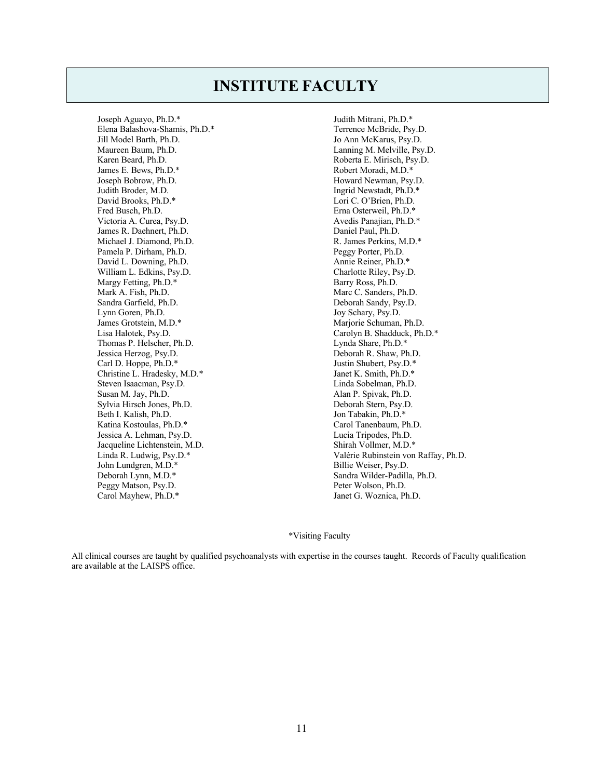## **INSTITUTE FACULTY**

Joseph Aguayo, Ph.D.\* Elena Balashova-Shamis, Ph.D.\* Jill Model Barth, Ph.D. Maureen Baum, Ph.D. Karen Beard, Ph.D. James E. Bews, Ph.D.\* Joseph Bobrow, Ph.D. Judith Broder, M.D. David Brooks, Ph.D.\* Fred Busch, Ph.D. Victoria A. Curea, Psy.D. James R. Daehnert, Ph.D. Michael J. Diamond, Ph.D. Pamela P. Dirham, Ph.D. David L. Downing, Ph.D. William L. Edkins, Psy.D. Margy Fetting, Ph.D.\* Mark A. Fish, Ph.D. Sandra Garfield, Ph.D. Lynn Goren, Ph.D. James Grotstein, M.D.\* Lisa Halotek, Psy.D. Thomas P. Helscher, Ph.D. Jessica Herzog, Psy.D. Carl D. Hoppe, Ph.D.\* Christine L. Hradesky, M.D.\* Steven Isaacman, Psy.D. Susan M. Jay, Ph.D. Sylvia Hirsch Jones, Ph.D. Beth I. Kalish, Ph.D. Katina Kostoulas, Ph.D.\* Jessica A. Lehman, Psy.D. Jacqueline Lichtenstein, M.D. Linda R. Ludwig, Psy.D.\* John Lundgren, M.D.\* Deborah Lynn, M.D.\* Peggy Matson, Psy.D. Carol Mayhew, Ph.D.\*

Judith Mitrani, Ph.D.\* Terrence McBride, Psy.D. Jo Ann McKarus, Psy.D. Lanning M. Melville, Psy.D. Roberta E. Mirisch, Psy.D. Robert Moradi, M.D.\* Howard Newman, Psy.D. Ingrid Newstadt, Ph.D.\* Lori C. O'Brien, Ph.D. Erna Osterweil, Ph.D.\* Avedis Panajian, Ph.D.\* Daniel Paul, Ph.D. R. James Perkins, M.D.\* Peggy Porter, Ph.D. Annie Reiner, Ph.D.\* Charlotte Riley, Psy.D. Barry Ross, Ph.D. Marc C. Sanders, Ph.D. Deborah Sandy, Psy.D. Joy Schary, Psy.D. Marjorie Schuman, Ph.D. Carolyn B. Shadduck, Ph.D.\* Lynda Share, Ph.D.\* Deborah R. Shaw, Ph.D. Justin Shubert, Psy.D.\* Janet K. Smith, Ph.D.\* Linda Sobelman, Ph.D. Alan P. Spivak, Ph.D. Deborah Stern, Psy.D. Jon Tabakin, Ph.D.\* Carol Tanenbaum, Ph.D. Lucia Tripodes, Ph.D. Shirah Vollmer, M.D.\* Valérie Rubinstein von Raffay, Ph.D. Billie Weiser, Psy.D. Sandra Wilder-Padilla, Ph.D. Peter Wolson, Ph.D. Janet G. Woznica, Ph.D.

#### \*Visiting Faculty

All clinical courses are taught by qualified psychoanalysts with expertise in the courses taught. Records of Faculty qualification are available at the LAISPS office.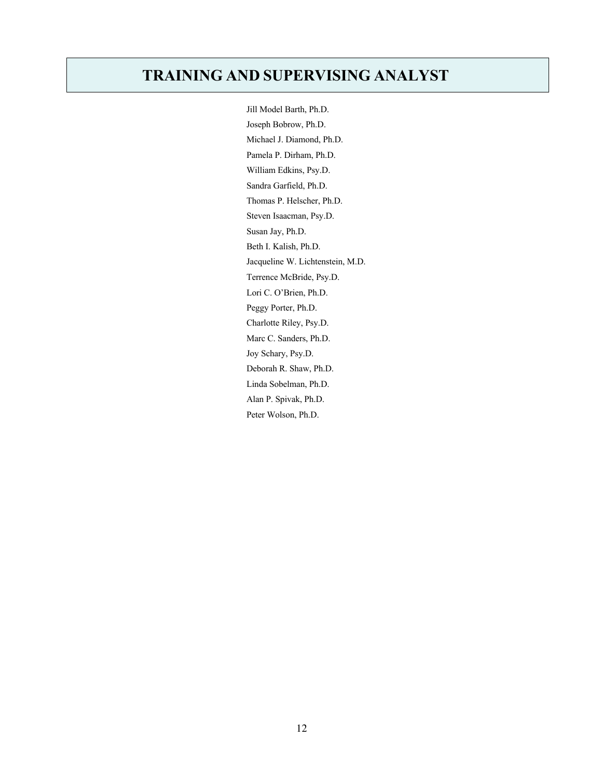## **TRAINING AND SUPERVISING ANALYST**

Jill Model Barth, Ph.D. Joseph Bobrow, Ph.D. Michael J. Diamond, Ph.D. Pamela P. Dirham, Ph.D. William Edkins, Psy.D. Sandra Garfield, Ph.D. Thomas P. Helscher, Ph.D. Steven Isaacman, Psy.D. Susan Jay, Ph.D. Beth I. Kalish, Ph.D. Jacqueline W. Lichtenstein, M.D. Terrence McBride, Psy.D. Lori C. O'Brien, Ph.D. Peggy Porter, Ph.D. Charlotte Riley, Psy.D. Marc C. Sanders, Ph.D. Joy Schary, Psy.D. Deborah R. Shaw, Ph.D. Linda Sobelman, Ph.D. Alan P. Spivak, Ph.D. Peter Wolson, Ph.D.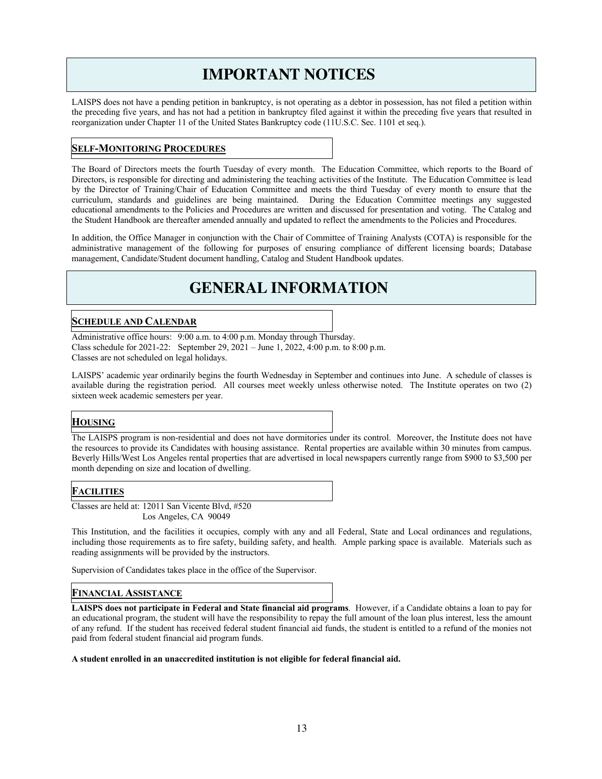## **IMPORTANT NOTICES**

LAISPS does not have a pending petition in bankruptcy, is not operating as a debtor in possession, has not filed a petition within the preceding five years, and has not had a petition in bankruptcy filed against it within the preceding five years that resulted in reorganization under Chapter 11 of the United States Bankruptcy code (11U.S.C. Sec. 1101 et seq.).

#### **SELF-MONITORING PROCEDURES**

The Board of Directors meets the fourth Tuesday of every month. The Education Committee, which reports to the Board of Directors, is responsible for directing and administering the teaching activities of the Institute. The Education Committee is lead by the Director of Training/Chair of Education Committee and meets the third Tuesday of every month to ensure that the curriculum, standards and guidelines are being maintained. During the Education Committee meetings any suggested educational amendments to the Policies and Procedures are written and discussed for presentation and voting. The Catalog and the Student Handbook are thereafter amended annually and updated to reflect the amendments to the Policies and Procedures.

In addition, the Office Manager in conjunction with the Chair of Committee of Training Analysts (COTA) is responsible for the administrative management of the following for purposes of ensuring compliance of different licensing boards; Database management, Candidate/Student document handling, Catalog and Student Handbook updates.

## **GENERAL INFORMATION**

#### **SCHEDULE AND CALENDAR**

Administrative office hours: 9:00 a.m. to 4:00 p.m. Monday through Thursday. Class schedule for 2021-22: September 29,  $2021 - June 1$ ,  $2022$ ,  $4:00$  p.m. to 8:00 p.m. Classes are not scheduled on legal holidays.

LAISPS' academic year ordinarily begins the fourth Wednesday in September and continues into June. A schedule of classes is available during the registration period. All courses meet weekly unless otherwise noted. The Institute operates on two (2) sixteen week academic semesters per year.

#### **HOUSING**

The LAISPS program is non-residential and does not have dormitories under its control. Moreover, the Institute does not have the resources to provide its Candidates with housing assistance. Rental properties are available within 30 minutes from campus. Beverly Hills/West Los Angeles rental properties that are advertised in local newspapers currently range from \$900 to \$3,500 per month depending on size and location of dwelling.

#### **FACILITIES**

Classes are held at: 12011 San Vicente Blvd, #520 Los Angeles, CA 90049

This Institution, and the facilities it occupies, comply with any and all Federal, State and Local ordinances and regulations, including those requirements as to fire safety, building safety, and health. Ample parking space is available. Materials such as reading assignments will be provided by the instructors.

Supervision of Candidates takes place in the office of the Supervisor.

#### **FINANCIAL ASSISTANCE**

**LAISPS does not participate in Federal and State financial aid programs**. However, if a Candidate obtains a loan to pay for an educational program, the student will have the responsibility to repay the full amount of the loan plus interest, less the amount of any refund. If the student has received federal student financial aid funds, the student is entitled to a refund of the monies not paid from federal student financial aid program funds.

#### **A student enrolled in an unaccredited institution is not eligible for federal financial aid.**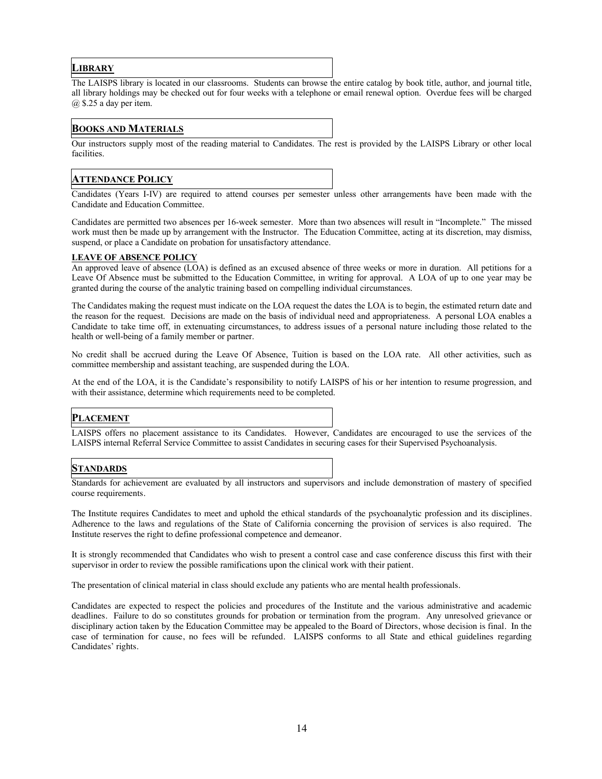#### **LIBRARY**

The LAISPS library is located in our classrooms. Students can browse the entire catalog by book title, author, and journal title, all library holdings may be checked out for four weeks with a telephone or email renewal option. Overdue fees will be charged @ \$.25 a day per item.

#### **BOOKS AND MATERIALS**

Our instructors supply most of the reading material to Candidates. The rest is provided by the LAISPS Library or other local facilities.

#### **ATTENDANCE POLICY**

Candidates (Years I-IV) are required to attend courses per semester unless other arrangements have been made with the Candidate and Education Committee.

Candidates are permitted two absences per 16-week semester. More than two absences will result in "Incomplete." The missed work must then be made up by arrangement with the Instructor. The Education Committee, acting at its discretion, may dismiss, suspend, or place a Candidate on probation for unsatisfactory attendance.

#### **LEAVE OF ABSENCE POLICY**

An approved leave of absence (LOA) is defined as an excused absence of three weeks or more in duration. All petitions for a Leave Of Absence must be submitted to the Education Committee, in writing for approval. A LOA of up to one year may be granted during the course of the analytic training based on compelling individual circumstances.

The Candidates making the request must indicate on the LOA request the dates the LOA is to begin, the estimated return date and the reason for the request. Decisions are made on the basis of individual need and appropriateness. A personal LOA enables a Candidate to take time off, in extenuating circumstances, to address issues of a personal nature including those related to the health or well-being of a family member or partner.

No credit shall be accrued during the Leave Of Absence, Tuition is based on the LOA rate. All other activities, such as committee membership and assistant teaching, are suspended during the LOA.

At the end of the LOA, it is the Candidate's responsibility to notify LAISPS of his or her intention to resume progression, and with their assistance, determine which requirements need to be completed.

#### **PLACEMENT**

LAISPS offers no placement assistance to its Candidates. However, Candidates are encouraged to use the services of the LAISPS internal Referral Service Committee to assist Candidates in securing cases for their Supervised Psychoanalysis.

#### **STANDARDS**

Standards for achievement are evaluated by all instructors and supervisors and include demonstration of mastery of specified course requirements.

The Institute requires Candidates to meet and uphold the ethical standards of the psychoanalytic profession and its disciplines. Adherence to the laws and regulations of the State of California concerning the provision of services is also required. The Institute reserves the right to define professional competence and demeanor.

It is strongly recommended that Candidates who wish to present a control case and case conference discuss this first with their supervisor in order to review the possible ramifications upon the clinical work with their patient.

The presentation of clinical material in class should exclude any patients who are mental health professionals.

Candidates are expected to respect the policies and procedures of the Institute and the various administrative and academic deadlines. Failure to do so constitutes grounds for probation or termination from the program. Any unresolved grievance or disciplinary action taken by the Education Committee may be appealed to the Board of Directors, whose decision is final. In the case of termination for cause, no fees will be refunded. LAISPS conforms to all State and ethical guidelines regarding Candidates' rights.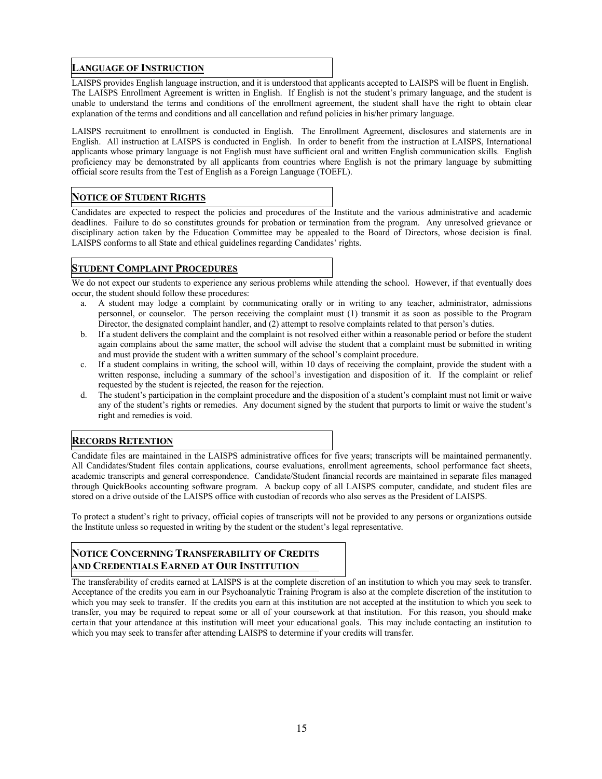#### **LANGUAGE OF INSTRUCTION**

LAISPS provides English language instruction, and it is understood that applicants accepted to LAISPS will be fluent in English. The LAISPS Enrollment Agreement is written in English. If English is not the student's primary language, and the student is unable to understand the terms and conditions of the enrollment agreement, the student shall have the right to obtain clear explanation of the terms and conditions and all cancellation and refund policies in his/her primary language.

LAISPS recruitment to enrollment is conducted in English. The Enrollment Agreement, disclosures and statements are in English. All instruction at LAISPS is conducted in English. In order to benefit from the instruction at LAISPS, International applicants whose primary language is not English must have sufficient oral and written English communication skills. English proficiency may be demonstrated by all applicants from countries where English is not the primary language by submitting official score results from the Test of English as a Foreign Language (TOEFL).

#### **NOTICE OF STUDENT RIGHTS**

Candidates are expected to respect the policies and procedures of the Institute and the various administrative and academic deadlines. Failure to do so constitutes grounds for probation or termination from the program. Any unresolved grievance or disciplinary action taken by the Education Committee may be appealed to the Board of Directors, whose decision is final. LAISPS conforms to all State and ethical guidelines regarding Candidates' rights.

#### **STUDENT COMPLAINT PROCEDURES**

We do not expect our students to experience any serious problems while attending the school. However, if that eventually does occur, the student should follow these procedures:

- a. A student may lodge a complaint by communicating orally or in writing to any teacher, administrator, admissions personnel, or counselor. The person receiving the complaint must (1) transmit it as soon as possible to the Program Director, the designated complaint handler, and (2) attempt to resolve complaints related to that person's duties.
- b. If a student delivers the complaint and the complaint is not resolved either within a reasonable period or before the student again complains about the same matter, the school will advise the student that a complaint must be submitted in writing and must provide the student with a written summary of the school's complaint procedure.
- c. If a student complains in writing, the school will, within 10 days of receiving the complaint, provide the student with a written response, including a summary of the school's investigation and disposition of it. If the complaint or relief requested by the student is rejected, the reason for the rejection.
- d. The student's participation in the complaint procedure and the disposition of a student's complaint must not limit or waive any of the student's rights or remedies. Any document signed by the student that purports to limit or waive the student's right and remedies is void.

#### **RECORDS RETENTION**

Candidate files are maintained in the LAISPS administrative offices for five years; transcripts will be maintained permanently. All Candidates/Student files contain applications, course evaluations, enrollment agreements, school performance fact sheets, academic transcripts and general correspondence. Candidate/Student financial records are maintained in separate files managed through QuickBooks accounting software program. A backup copy of all LAISPS computer, candidate, and student files are stored on a drive outside of the LAISPS office with custodian of records who also serves as the President of LAISPS.

To protect a student's right to privacy, official copies of transcripts will not be provided to any persons or organizations outside the Institute unless so requested in writing by the student or the student's legal representative.

#### **NOTICE CONCERNING TRANSFERABILITY OF CREDITS AND CREDENTIALS EARNED AT OUR INSTITUTION**

The transferability of credits earned at LAISPS is at the complete discretion of an institution to which you may seek to transfer. Acceptance of the credits you earn in our Psychoanalytic Training Program is also at the complete discretion of the institution to which you may seek to transfer. If the credits you earn at this institution are not accepted at the institution to which you seek to transfer, you may be required to repeat some or all of your coursework at that institution. For this reason, you should make certain that your attendance at this institution will meet your educational goals. This may include contacting an institution to which you may seek to transfer after attending LAISPS to determine if your credits will transfer.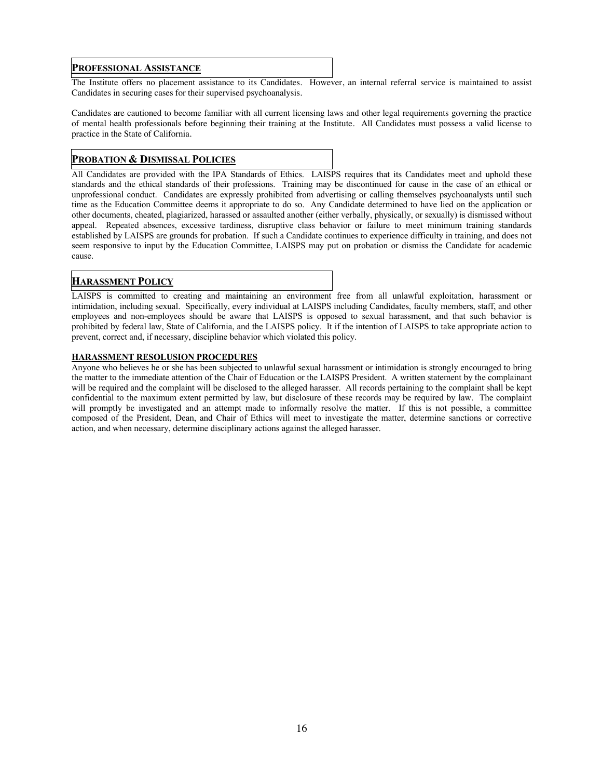#### **PROFESSIONAL ASSISTANCE**

The Institute offers no placement assistance to its Candidates. However, an internal referral service is maintained to assist Candidates in securing cases for their supervised psychoanalysis.

Candidates are cautioned to become familiar with all current licensing laws and other legal requirements governing the practice of mental health professionals before beginning their training at the Institute. All Candidates must possess a valid license to practice in the State of California.

#### **PROBATION & DISMISSAL POLICIES**

All Candidates are provided with the IPA Standards of Ethics. LAISPS requires that its Candidates meet and uphold these standards and the ethical standards of their professions. Training may be discontinued for cause in the case of an ethical or unprofessional conduct. Candidates are expressly prohibited from advertising or calling themselves psychoanalysts until such time as the Education Committee deems it appropriate to do so. Any Candidate determined to have lied on the application or other documents, cheated, plagiarized, harassed or assaulted another (either verbally, physically, or sexually) is dismissed without appeal. Repeated absences, excessive tardiness, disruptive class behavior or failure to meet minimum training standards established by LAISPS are grounds for probation. If such a Candidate continues to experience difficulty in training, and does not seem responsive to input by the Education Committee, LAISPS may put on probation or dismiss the Candidate for academic cause.

#### **HARASSMENT POLICY**

LAISPS is committed to creating and maintaining an environment free from all unlawful exploitation, harassment or intimidation, including sexual. Specifically, every individual at LAISPS including Candidates, faculty members, staff, and other employees and non-employees should be aware that LAISPS is opposed to sexual harassment, and that such behavior is prohibited by federal law, State of California, and the LAISPS policy. It if the intention of LAISPS to take appropriate action to prevent, correct and, if necessary, discipline behavior which violated this policy.

#### **HARASSMENT RESOLUSION PROCEDURES**

Anyone who believes he or she has been subjected to unlawful sexual harassment or intimidation is strongly encouraged to bring the matter to the immediate attention of the Chair of Education or the LAISPS President. A written statement by the complainant will be required and the complaint will be disclosed to the alleged harasser. All records pertaining to the complaint shall be kept confidential to the maximum extent permitted by law, but disclosure of these records may be required by law. The complaint will promptly be investigated and an attempt made to informally resolve the matter. If this is not possible, a committee composed of the President, Dean, and Chair of Ethics will meet to investigate the matter, determine sanctions or corrective action, and when necessary, determine disciplinary actions against the alleged harasser.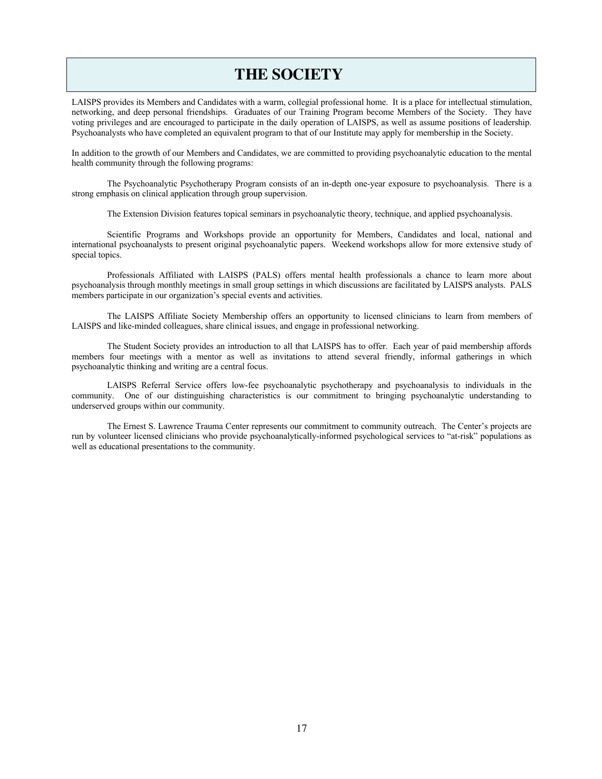## **THE SOCIETY**

LAISPS provides its Members and Candidates with a warm, collegial professional home. It is a place for intellectual stimulation, networking, and deep personal friendships. Graduates of our Training Program become Members of the Society. They have voting privileges and are encouraged to participate in the daily operation of LAISPS, as well as assume positions of leadership. Psychoanalysts who have completed an equivalent program to that of our Institute may apply for membership in the Society.

In addition to the growth of our Members and Candidates, we are committed to providing psychoanalytic education to the mental health community through the following programs:

The Psychoanalytic Psychotherapy Program consists of an in-depth one-year exposure to psychoanalysis. There is a strong emphasis on clinical application through group supervision.

The Extension Division features topical seminars in psychoanalytic theory, technique, and applied psychoanalysis.

Scientific Programs and Workshops provide an opportunity for Members, Candidates and local, national and international psychoanalysts to present original psychoanalytic papers. Weekend workshops allow for more extensive study of special topics.

Professionals Affiliated with LAISPS (PALS) offers mental health professionals a chance to learn more about psychoanalysis through monthly meetings in small group settings in which discussions are facilitated by LAISPS analysts. PALS members participate in our organization's special events and activities.

The LAISPS Affiliate Society Membership offers an opportunity to licensed clinicians to learn from members of LAISPS and like-minded colleagues, share clinical issues, and engage in professional networking.

The Student Society provides an introduction to all that LAISPS has to offer. Each year of paid membership affords members four meetings with a mentor as well as invitations to attend several friendly, informal gatherings in which psychoanalytic thinking and writing are a central focus.

LAISPS Referral Service offers low-fee psychoanalytic psychotherapy and psychoanalysis to individuals in the community. One of our distinguishing characteristics is our commitment to bringing psychoanalytic understanding to underserved groups within our community.

The Ernest S. Lawrence Trauma Center represents our commitment to community outreach. The Center's projects are run by volunteer licensed clinicians who provide psychoanalytically-informed psychological services to "at-risk" populations as well as educational presentations to the community.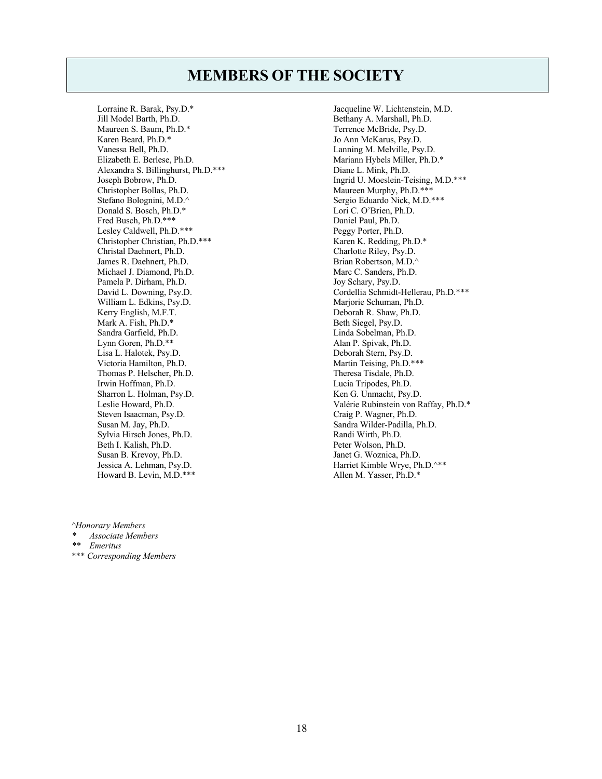## **MEMBERS OF THE SOCIETY**

Lorraine R. Barak, Psy.D.\* Jill Model Barth, Ph.D. Maureen S. Baum, Ph.D.\* Karen Beard, Ph.D.\* Vanessa Bell, Ph.D. Elizabeth E. Berlese, Ph.D. Alexandra S. Billinghurst, Ph.D.\*\*\* Joseph Bobrow, Ph.D. Christopher Bollas, Ph.D. Stefano Bolognini, M.D.^ Donald S. Bosch, Ph.D.\* Fred Busch, Ph.D.\*\*\* Lesley Caldwell, Ph.D.\*\*\* Christopher Christian, Ph.D.\*\*\* Christal Daehnert, Ph.D. James R. Daehnert, Ph.D. Michael J. Diamond, Ph.D. Pamela P. Dirham, Ph.D. David L. Downing, Psy.D. William L. Edkins, Psy.D. Kerry English, M.F.T. Mark A. Fish, Ph.D.\* Sandra Garfield, Ph.D. Lynn Goren, Ph.D.\*\* Lisa L. Halotek, Psy.D. Victoria Hamilton, Ph.D. Thomas P. Helscher, Ph.D. Irwin Hoffman, Ph.D. Sharron L. Holman, Psy.D. Leslie Howard, Ph.D. Steven Isaacman, Psy.D. Susan M. Jay, Ph.D. Sylvia Hirsch Jones, Ph.D. Beth I. Kalish, Ph.D. Susan B. Krevoy, Ph.D. Jessica A. Lehman, Psy.D. Howard B. Levin, M.D.\*\*\*

Jacqueline W. Lichtenstein, M.D. Bethany A. Marshall, Ph.D. Terrence McBride, Psy.D. Jo Ann McKarus, Psy.D. Lanning M. Melville, Psy.D. Mariann Hybels Miller, Ph.D.\* Diane L. Mink, Ph.D. Ingrid U. Moeslein-Teising, M.D.\*\*\* Maureen Murphy, Ph.D.\*\*\* Sergio Eduardo Nick, M.D.\*\*\* Lori C. O'Brien, Ph.D. Daniel Paul, Ph.D. Peggy Porter, Ph.D. Karen K. Redding, Ph.D.\* Charlotte Riley, Psy.D. Brian Robertson, M.D.^ Marc C. Sanders, Ph.D. Joy Schary, Psy.D. Cordellia Schmidt-Hellerau, Ph.D.\*\*\* Marjorie Schuman, Ph.D. Deborah R. Shaw, Ph.D. Beth Siegel, Psy.D. Linda Sobelman, Ph.D. Alan P. Spivak, Ph.D. Deborah Stern, Psy.D. Martin Teising, Ph.D.\*\*\* Theresa Tisdale, Ph.D. Lucia Tripodes, Ph.D. Ken G. Unmacht, Psy.D. Valérie Rubinstein von Raffay, Ph.D.\* Craig P. Wagner, Ph.D. Sandra Wilder-Padilla, Ph.D. Randi Wirth, Ph.D. Peter Wolson, Ph.D. Janet G. Woznica, Ph.D. Harriet Kimble Wrye, Ph.D.^\*\* Allen M. Yasser, Ph.D.\*

*^Honorary Members*

- *\* Associate Members*
- *\*\* Emeritus*
- \*\*\* *Corresponding Members*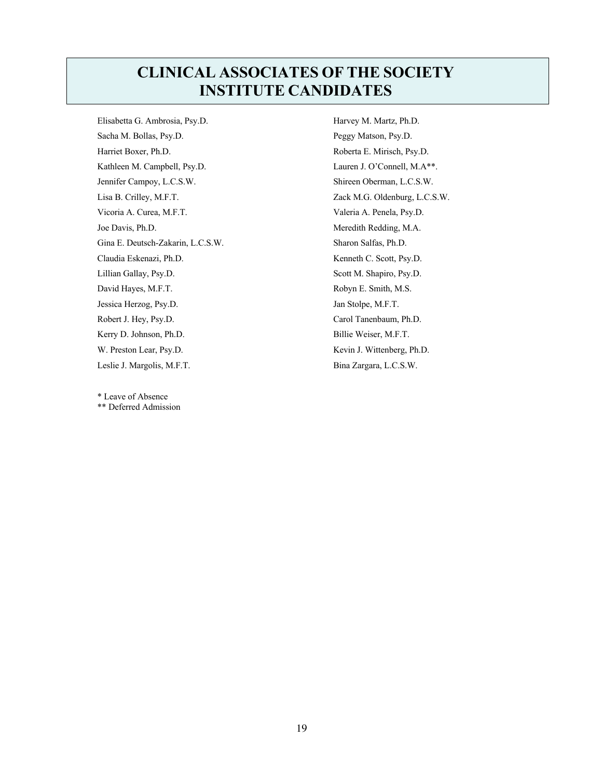## **CLINICAL ASSOCIATES OF THE SOCIETY INSTITUTE CANDIDATES**

Elisabetta G. Ambrosia, Psy.D. Sacha M. Bollas, Psy.D. Harriet Boxer, Ph.D. Kathleen M. Campbell, Psy.D. Jennifer Campoy, L.C.S.W. Lisa B. Crilley, M.F.T. Vicoria A. Curea, M.F.T. Joe Davis, Ph.D. Gina E. Deutsch-Zakarin, L.C.S.W. Claudia Eskenazi, Ph.D. Lillian Gallay, Psy.D. David Hayes, M.F.T. Jessica Herzog, Psy.D. Robert J. Hey, Psy.D. Kerry D. Johnson, Ph.D. W. Preston Lear, Psy.D. Leslie J. Margolis, M.F.T.

\* Leave of Absence \*\* Deferred Admission Harvey M. Martz, Ph.D. Peggy Matson, Psy.D. Roberta E. Mirisch, Psy.D. Lauren J. O'Connell, M.A\*\*. Shireen Oberman, L.C.S.W. Zack M.G. Oldenburg, L.C.S.W. Valeria A. Penela, Psy.D. Meredith Redding, M.A. Sharon Salfas, Ph.D. Kenneth C. Scott, Psy.D. Scott M. Shapiro, Psy.D. Robyn E. Smith, M.S. Jan Stolpe, M.F.T. Carol Tanenbaum, Ph.D. Billie Weiser, M.F.T. Kevin J. Wittenberg, Ph.D. Bina Zargara, L.C.S.W.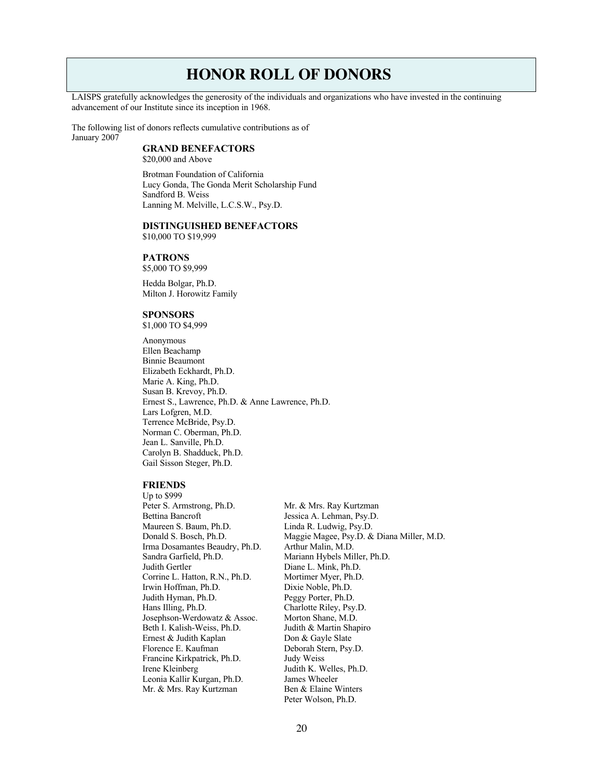## **HONOR ROLL OF DONORS**

LAISPS gratefully acknowledges the generosity of the individuals and organizations who have invested in the continuing advancement of our Institute since its inception in 1968.

The following list of donors reflects cumulative contributions as of January 2007

#### **GRAND BENEFACTORS**

\$20,000 and Above

Brotman Foundation of California Lucy Gonda, The Gonda Merit Scholarship Fund Sandford B. Weiss Lanning M. Melville, L.C.S.W., Psy.D.

#### **DISTINGUISHED BENEFACTORS**

\$10,000 TO \$19,999

#### **PATRONS**

\$5,000 TO \$9,999

Hedda Bolgar, Ph.D. Milton J. Horowitz Family

#### **SPONSORS**

\$1,000 TO \$4,999

Anonymous Ellen Beachamp Binnie Beaumont Elizabeth Eckhardt, Ph.D. Marie A. King, Ph.D. Susan B. Krevoy, Ph.D. Ernest S., Lawrence, Ph.D. & Anne Lawrence, Ph.D. Lars Lofgren, M.D. Terrence McBride, Psy.D. Norman C. Oberman, Ph.D. Jean L. Sanville, Ph.D. Carolyn B. Shadduck, Ph.D. Gail Sisson Steger, Ph.D.

#### **FRIENDS**

Up to \$999 Peter S. Armstrong, Ph.D. Mr. & Mrs. Ray Kurtzman Bettina Bancroft<br>
Maureen S. Baum, Ph.D.<br>
Linda R. Ludwig, Psy.D. Donald S. Bosch, Ph.D. Maggie Magee, Psy.D. & Diana Miller, M.D. Irma Dosamantes Beaudry, Ph.D. Arthur Malin, M.D. Sandra Garfield, Ph.D.<br>
Judith Gertler<br>
Diane L. Mink. Ph.D.<br>
Diane L. Mink. Ph.D. Diane L. Mink, Ph.D. Corrine L. Hatton, R.N., Ph.D. Mortimer Myer, Ph.D. Irwin Hoffman, Ph.D. Dixie Noble, Ph.D. Judith Hyman, Ph.D. Peggy Porter, Ph.D. Hans Illing, Ph.D. Charlotte Riley, Psy.D. Josephson-Werdowatz & Assoc. Morton Shane, M.D. Beth I. Kalish-Weiss, Ph.D. Judith & Martin Shapiro Ernest & Judith Kaplan Don & Gayle Slate Florence E. Kaufman Deborah Stern, Psy.D. Francine Kirkpatrick, Ph.D. Judy Weiss Irene Kleinberg **Judith K. Welles, Ph.D.**<br>Leonia Kallir Kurgan, Ph.D. James Wheeler Leonia Kallir Kurgan, Ph.D. Mr. & Mrs. Ray Kurtzman Ben & Elaine Winters

Linda R. Ludwig, Psy.D. Peter Wolson, Ph.D.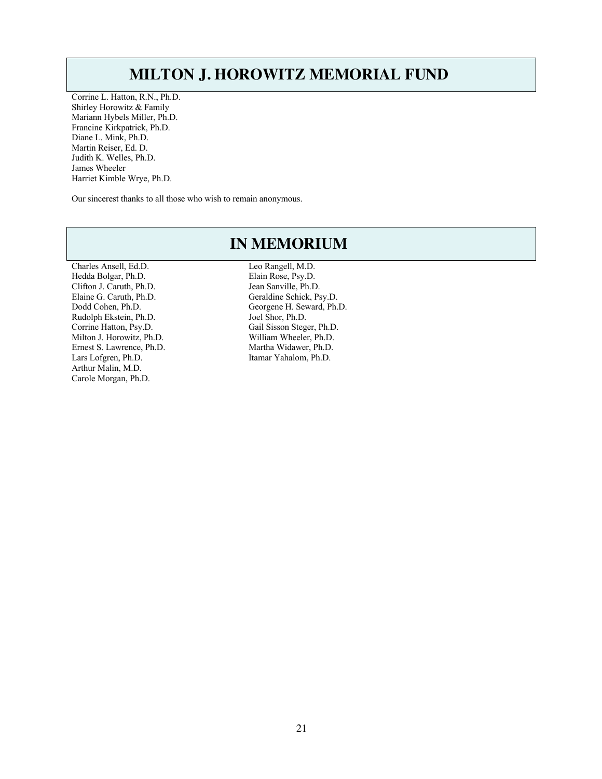## **MILTON J. HOROWITZ MEMORIAL FUND**

Corrine L. Hatton, R.N., Ph.D. Shirley Horowitz & Family Mariann Hybels Miller, Ph.D. Francine Kirkpatrick, Ph.D. Diane L. Mink, Ph.D. Martin Reiser, Ed. D. Judith K. Welles, Ph.D. James Wheeler Harriet Kimble Wrye, Ph.D.

Our sincerest thanks to all those who wish to remain anonymous.

## **IN MEMORIUM**

Charles Ansell, Ed.D. Leo Rangell, M.D. Hedda Bolgar, Ph.D.<br>Clifton J. Caruth, Ph.D.<br>Jean Sanville, Ph.D.<br>Jean Sanville, Ph.D. Clifton J. Caruth, Ph.D. Rudolph Ekstein, Ph.D. Joel Shor, Ph.D. Milton J. Horowitz, Ph.D. Ernest S. Lawrence, Ph.D. Martha Widawer, Ph.D. Lars Lofgren, Ph.D. Itamar Yahalom, Ph.D. Arthur Malin, M.D. Carole Morgan, Ph.D.

Elaine G. Caruth, Ph.D. Geraldine Schick, Psy.D. Dodd Cohen, Ph.D. Georgene H. Seward, Ph.D. Corrine Hatton, Psy.D. Gail Sisson Steger, Ph.D.